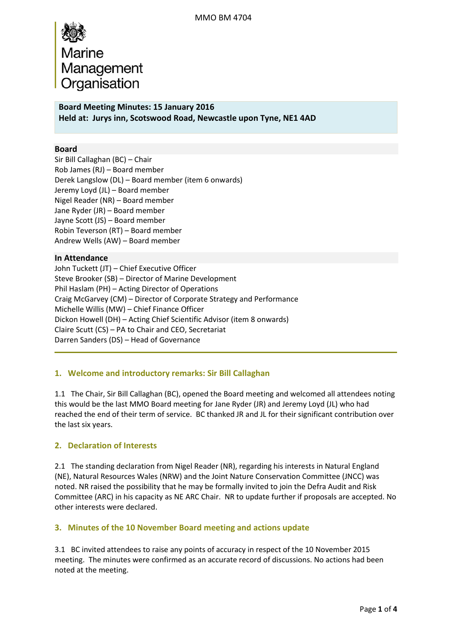# Marine Management Organisation

**Board Meeting Minutes: 15 January 2016 Held at: Jurys inn, Scotswood Road, Newcastle upon Tyne, NE1 4AD**

## **Board**

Sir Bill Callaghan (BC) – Chair Rob James (RJ) – Board member Derek Langslow (DL) – Board member (item 6 onwards) Jeremy Loyd (JL) – Board member Nigel Reader (NR) – Board member Jane Ryder (JR) – Board member Jayne Scott (JS) – Board member Robin Teverson (RT) – Board member Andrew Wells (AW) – Board member

## **In Attendance**

John Tuckett (JT) – Chief Executive Officer Steve Brooker (SB) – Director of Marine Development Phil Haslam (PH) – Acting Director of Operations Craig McGarvey (CM) – Director of Corporate Strategy and Performance Michelle Willis (MW) – Chief Finance Officer Dickon Howell (DH) – Acting Chief Scientific Advisor (item 8 onwards) Claire Scutt (CS) – PA to Chair and CEO, Secretariat Darren Sanders (DS) – Head of Governance

# **1. Welcome and introductory remarks: Sir Bill Callaghan**

1.1 The Chair, Sir Bill Callaghan (BC), opened the Board meeting and welcomed all attendees noting this would be the last MMO Board meeting for Jane Ryder (JR) and Jeremy Loyd (JL) who had reached the end of their term of service. BC thanked JR and JL for their significant contribution over the last six years.

# **2. Declaration of Interests**

2.1 The standing declaration from Nigel Reader (NR), regarding his interests in Natural England (NE), Natural Resources Wales (NRW) and the Joint Nature Conservation Committee (JNCC) was noted. NR raised the possibility that he may be formally invited to join the Defra Audit and Risk Committee (ARC) in his capacity as NE ARC Chair. NR to update further if proposals are accepted. No other interests were declared.

## **3. Minutes of the 10 November Board meeting and actions update**

3.1 BC invited attendees to raise any points of accuracy in respect of the 10 November 2015 meeting. The minutes were confirmed as an accurate record of discussions. No actions had been noted at the meeting.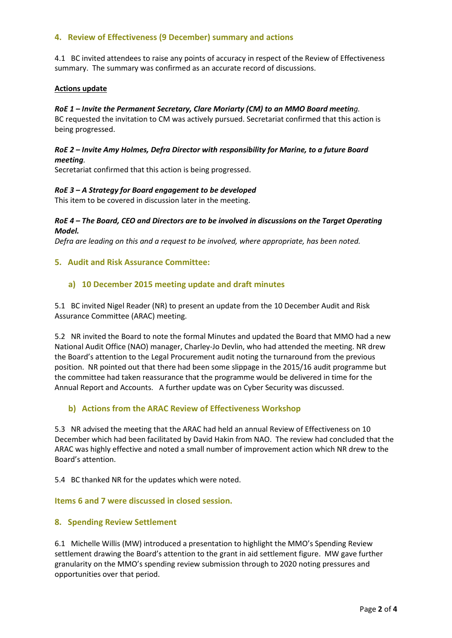## **4. Review of Effectiveness (9 December) summary and actions**

4.1 BC invited attendees to raise any points of accuracy in respect of the Review of Effectiveness summary. The summary was confirmed as an accurate record of discussions.

#### **Actions update**

#### *RoE 1 – Invite the Permanent Secretary, Clare Moriarty (CM) to an MMO Board meeting.*

BC requested the invitation to CM was actively pursued. Secretariat confirmed that this action is being progressed.

#### *RoE 2 – Invite Amy Holmes, Defra Director with responsibility for Marine, to a future Board meeting.*

Secretariat confirmed that this action is being progressed.

#### *RoE 3 – A Strategy for Board engagement to be developed*

This item to be covered in discussion later in the meeting.

#### *RoE 4 – The Board, CEO and Directors are to be involved in discussions on the Target Operating Model.*

*Defra are leading on this and a request to be involved, where appropriate, has been noted.* 

#### **5. Audit and Risk Assurance Committee:**

#### **a) 10 December 2015 meeting update and draft minutes**

5.1 BC invited Nigel Reader (NR) to present an update from the 10 December Audit and Risk Assurance Committee (ARAC) meeting.

5.2 NR invited the Board to note the formal Minutes and updated the Board that MMO had a new National Audit Office (NAO) manager, Charley-Jo Devlin, who had attended the meeting. NR drew the Board's attention to the Legal Procurement audit noting the turnaround from the previous position. NR pointed out that there had been some slippage in the 2015/16 audit programme but the committee had taken reassurance that the programme would be delivered in time for the Annual Report and Accounts. A further update was on Cyber Security was discussed.

## **b) Actions from the ARAC Review of Effectiveness Workshop**

5.3 NR advised the meeting that the ARAC had held an annual Review of Effectiveness on 10 December which had been facilitated by David Hakin from NAO. The review had concluded that the ARAC was highly effective and noted a small number of improvement action which NR drew to the Board's attention.

5.4 BC thanked NR for the updates which were noted.

#### **Items 6 and 7 were discussed in closed session.**

## **8. Spending Review Settlement**

6.1 Michelle Willis (MW) introduced a presentation to highlight the MMO's Spending Review settlement drawing the Board's attention to the grant in aid settlement figure. MW gave further granularity on the MMO's spending review submission through to 2020 noting pressures and opportunities over that period.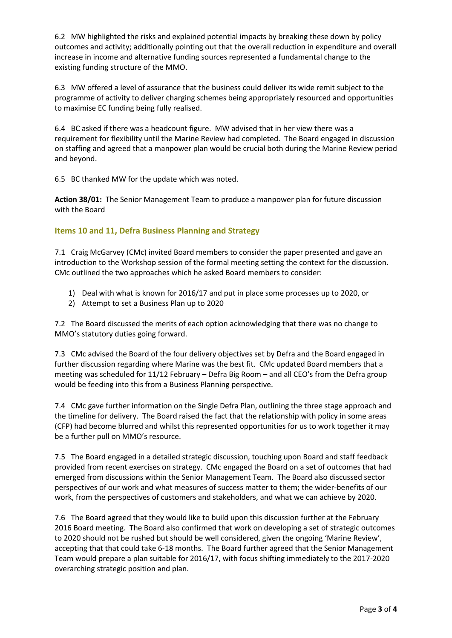6.2 MW highlighted the risks and explained potential impacts by breaking these down by policy outcomes and activity; additionally pointing out that the overall reduction in expenditure and overall increase in income and alternative funding sources represented a fundamental change to the existing funding structure of the MMO.

6.3 MW offered a level of assurance that the business could deliver its wide remit subject to the programme of activity to deliver charging schemes being appropriately resourced and opportunities to maximise EC funding being fully realised.

6.4 BC asked if there was a headcount figure. MW advised that in her view there was a requirement for flexibility until the Marine Review had completed. The Board engaged in discussion on staffing and agreed that a manpower plan would be crucial both during the Marine Review period and beyond.

6.5 BC thanked MW for the update which was noted.

**Action 38/01:** The Senior Management Team to produce a manpower plan for future discussion with the Board

## **Items 10 and 11, Defra Business Planning and Strategy**

7.1 Craig McGarvey (CMc) invited Board members to consider the paper presented and gave an introduction to the Workshop session of the formal meeting setting the context for the discussion. CMc outlined the two approaches which he asked Board members to consider:

- 1) Deal with what is known for 2016/17 and put in place some processes up to 2020, or
- 2) Attempt to set a Business Plan up to 2020

7.2 The Board discussed the merits of each option acknowledging that there was no change to MMO's statutory duties going forward.

7.3 CMc advised the Board of the four delivery objectives set by Defra and the Board engaged in further discussion regarding where Marine was the best fit. CMc updated Board members that a meeting was scheduled for 11/12 February – Defra Big Room – and all CEO's from the Defra group would be feeding into this from a Business Planning perspective.

7.4 CMc gave further information on the Single Defra Plan, outlining the three stage approach and the timeline for delivery. The Board raised the fact that the relationship with policy in some areas (CFP) had become blurred and whilst this represented opportunities for us to work together it may be a further pull on MMO's resource.

7.5 The Board engaged in a detailed strategic discussion, touching upon Board and staff feedback provided from recent exercises on strategy. CMc engaged the Board on a set of outcomes that had emerged from discussions within the Senior Management Team. The Board also discussed sector perspectives of our work and what measures of success matter to them; the wider-benefits of our work, from the perspectives of customers and stakeholders, and what we can achieve by 2020.

7.6 The Board agreed that they would like to build upon this discussion further at the February 2016 Board meeting. The Board also confirmed that work on developing a set of strategic outcomes to 2020 should not be rushed but should be well considered, given the ongoing 'Marine Review', accepting that that could take 6-18 months. The Board further agreed that the Senior Management Team would prepare a plan suitable for 2016/17, with focus shifting immediately to the 2017-2020 overarching strategic position and plan.